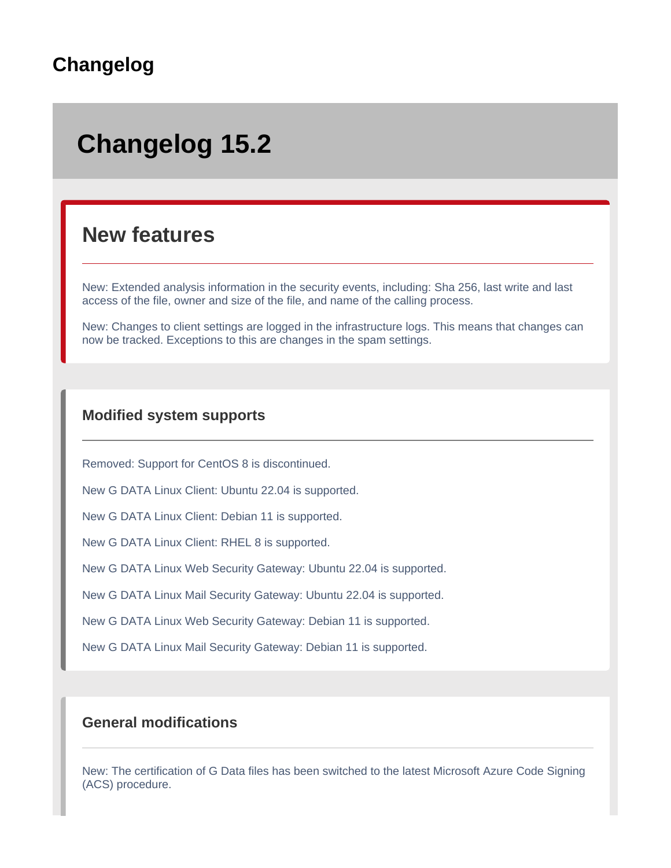# **Changelog**

# **Changelog 15.2**

# **New features**

New: Extended analysis information in the security events, including: Sha 256, last write and last access of the file, owner and size of the file, and name of the calling process.

New: Changes to client settings are logged in the infrastructure logs. This means that changes can now be tracked. Exceptions to this are changes in the spam settings.

#### **Modified system supports**

Removed: Support for CentOS 8 is discontinued.

New G DATA Linux Client: Ubuntu 22.04 is supported.

New G DATA Linux Client: Debian 11 is supported.

New G DATA Linux Client: RHEL 8 is supported.

New G DATA Linux Web Security Gateway: Ubuntu 22.04 is supported.

New G DATA Linux Mail Security Gateway: Ubuntu 22.04 is supported.

New G DATA Linux Web Security Gateway: Debian 11 is supported.

New G DATA Linux Mail Security Gateway: Debian 11 is supported.

#### **General modifications**

New: The certification of G Data files has been switched to the latest Microsoft Azure Code Signing (ACS) procedure.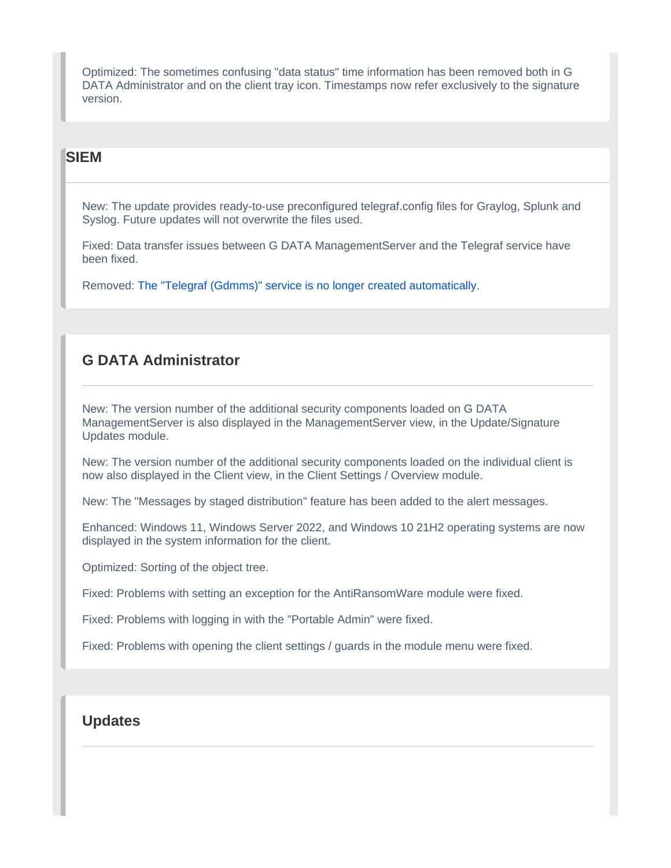Optimized: The sometimes confusing "data status" time information has been removed both in G DATA Administrator and on the client tray icon. Timestamps now refer exclusively to the signature version.

#### **SIEM**

New: The update provides ready-to-use preconfigured telegraf.config files for Graylog, Splunk and Syslog. Future updates will not overwrite the files used.

Fixed: Data transfer issues between G DATA ManagementServer and the Telegraf service have been fixed.

Removed: [The "Telegraf \(Gdmms\)" service is no longer created automatically.](https://www.gdata.help/display/BS/SIEM+-+Security+Information+and+Event+Management)

# **G DATA Administrator**

New: The version number of the additional security components loaded on G DATA ManagementServer is also displayed in the ManagementServer view, in the Update/Signature Updates module.

New: The version number of the additional security components loaded on the individual client is now also displayed in the Client view, in the Client Settings / Overview module.

New: The "Messages by staged distribution" feature has been added to the alert messages.

Enhanced: Windows 11, Windows Server 2022, and Windows 10 21H2 operating systems are now displayed in the system information for the client.

Optimized: Sorting of the object tree.

Fixed: Problems with setting an exception for the AntiRansomWare module were fixed.

Fixed: Problems with logging in with the "Portable Admin" were fixed.

Fixed: Problems with opening the client settings / guards in the module menu were fixed.

#### **Updates**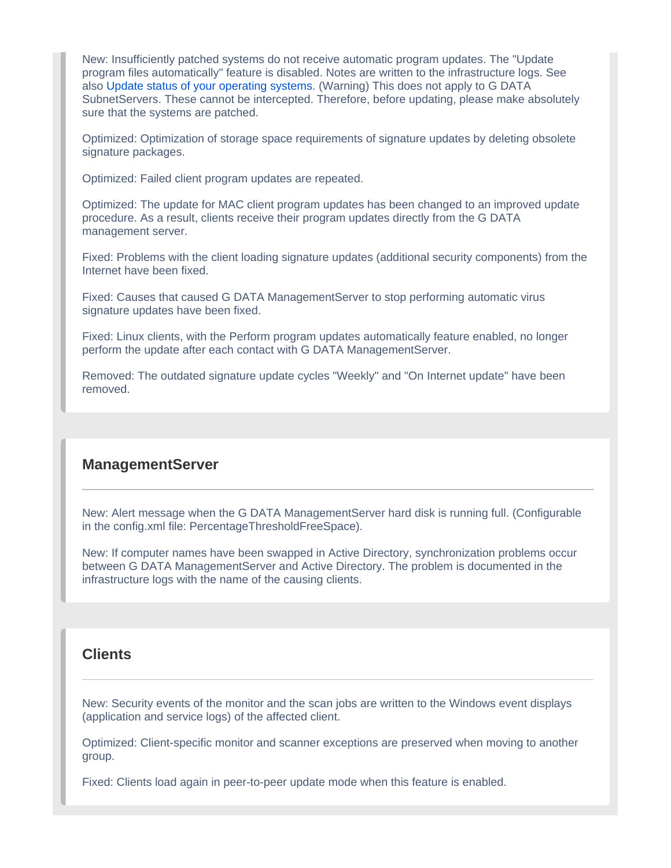New: Insufficiently patched systems do not receive automatic program updates. The "Update program files automatically" feature is disabled. Notes are written to the infrastructure logs. See also [Update status of your operating systems](https://www.gdata.help/display/BS/Updatestand+Ihrer+Betriebssysteme). (Warning) This does not apply to G DATA SubnetServers. These cannot be intercepted. Therefore, before updating, please make absolutely sure that the systems are patched.

Optimized: Optimization of storage space requirements of signature updates by deleting obsolete signature packages.

Optimized: Failed client program updates are repeated.

Optimized: The update for MAC client program updates has been changed to an improved update procedure. As a result, clients receive their program updates directly from the G DATA management server.

Fixed: Problems with the client loading signature updates (additional security components) from the Internet have been fixed.

Fixed: Causes that caused G DATA ManagementServer to stop performing automatic virus signature updates have been fixed.

Fixed: Linux clients, with the Perform program updates automatically feature enabled, no longer perform the update after each contact with G DATA ManagementServer.

Removed: The outdated signature update cycles "Weekly" and "On Internet update" have been removed.

#### **ManagementServer**

New: Alert message when the G DATA ManagementServer hard disk is running full. (Configurable in the config.xml file: PercentageThresholdFreeSpace).

New: If computer names have been swapped in Active Directory, synchronization problems occur between G DATA ManagementServer and Active Directory. The problem is documented in the infrastructure logs with the name of the causing clients.

#### **Clients**

New: Security events of the monitor and the scan jobs are written to the Windows event displays (application and service logs) of the affected client.

Optimized: Client-specific monitor and scanner exceptions are preserved when moving to another group.

Fixed: Clients load again in peer-to-peer update mode when this feature is enabled.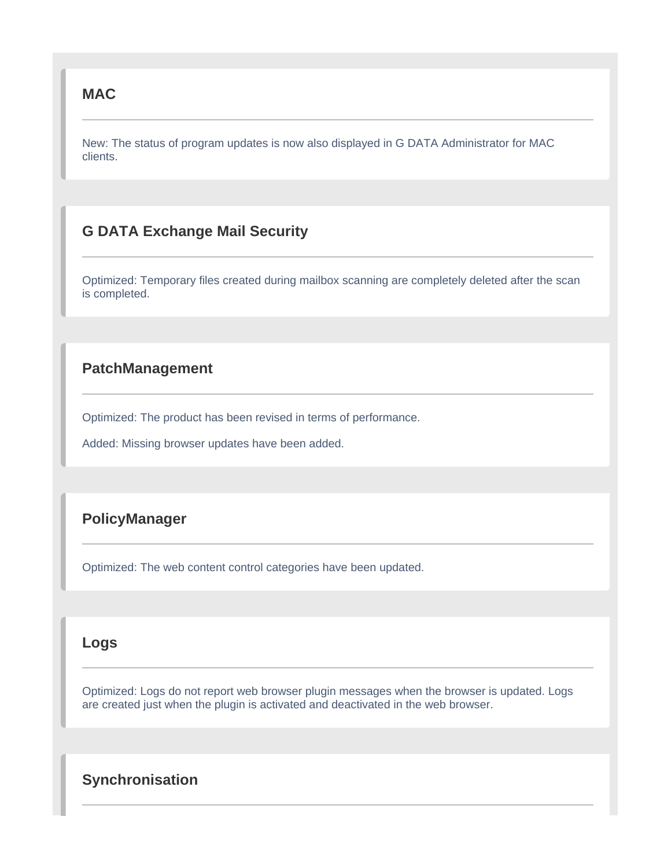#### **MAC**

New: The status of program updates is now also displayed in G DATA Administrator for MAC clients.

# **G DATA Exchange Mail Security**

Optimized: Temporary files created during mailbox scanning are completely deleted after the scan is completed.

#### **PatchManagement**

Optimized: The product has been revised in terms of performance.

Added: Missing browser updates have been added.

#### **PolicyManager**

Optimized: The web content control categories have been updated.

#### **Logs**

Optimized: Logs do not report web browser plugin messages when the browser is updated. Logs are created just when the plugin is activated and deactivated in the web browser.

### **Synchronisation**